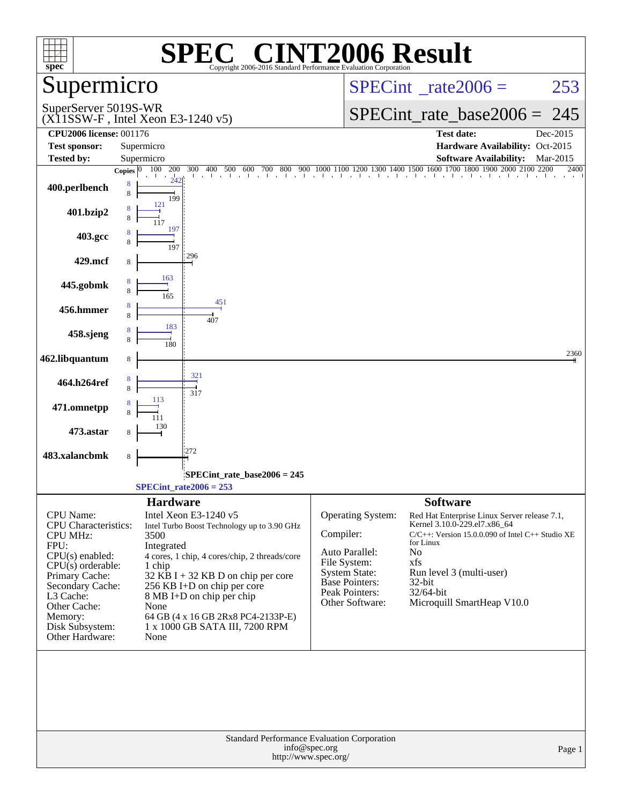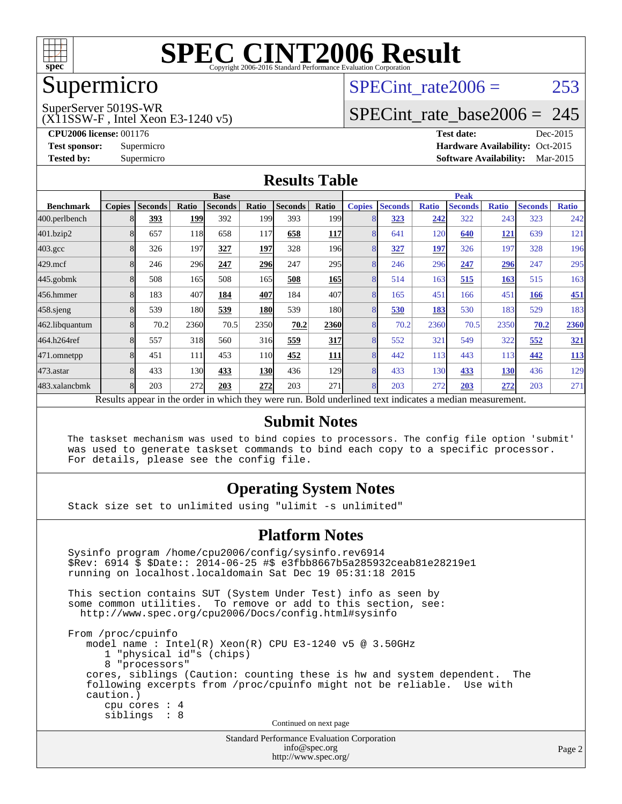

## Supermicro

#### SuperServer 5019S-WR

(X11SSW-F , Intel Xeon E3-1240 v5)

SPECint rate $2006 = 253$ 

### [SPECint\\_rate\\_base2006 =](http://www.spec.org/auto/cpu2006/Docs/result-fields.html#SPECintratebase2006) 245

**[CPU2006 license:](http://www.spec.org/auto/cpu2006/Docs/result-fields.html#CPU2006license)** 001176 **[Test date:](http://www.spec.org/auto/cpu2006/Docs/result-fields.html#Testdate)** Dec-2015 **[Test sponsor:](http://www.spec.org/auto/cpu2006/Docs/result-fields.html#Testsponsor)** Supermicro Supermicro **[Hardware Availability:](http://www.spec.org/auto/cpu2006/Docs/result-fields.html#HardwareAvailability)** Oct-2015 **[Tested by:](http://www.spec.org/auto/cpu2006/Docs/result-fields.html#Testedby)** Supermicro **Supermicro [Software Availability:](http://www.spec.org/auto/cpu2006/Docs/result-fields.html#SoftwareAvailability)** Mar-2015

#### **[Results Table](http://www.spec.org/auto/cpu2006/Docs/result-fields.html#ResultsTable)**

|                    | <b>Base</b> |                |       |                                                                                                          |            |                |                  | <b>Peak</b>   |                |              |                |              |                |              |
|--------------------|-------------|----------------|-------|----------------------------------------------------------------------------------------------------------|------------|----------------|------------------|---------------|----------------|--------------|----------------|--------------|----------------|--------------|
| <b>Benchmark</b>   | Copies      | <b>Seconds</b> | Ratio | <b>Seconds</b>                                                                                           | Ratio      | <b>Seconds</b> | Ratio            | <b>Copies</b> | <b>Seconds</b> | <b>Ratio</b> | <b>Seconds</b> | <b>Ratio</b> | <b>Seconds</b> | <b>Ratio</b> |
| 400.perlbench      |             | 393            | 199   | 392                                                                                                      | 199        | 393            | 199 <sub>1</sub> | 8             | 323            | 242          | 322            | 243          | 323            | 242          |
| 401.bzip2          | 8           | 657            | 118   | 658                                                                                                      | 117        | 658            | 117              | 8             | 641            | 120          | 640            | <u>121</u>   | 639            | 121          |
| $403.\mathrm{gcc}$ | 8           | 326            | 197   | 327                                                                                                      | 197        | 328            | 196 <sub>l</sub> | 8             | 327            | 197          | 326            | 197          | 328            | 196          |
| $429$ .mcf         | 8           | 246            | 296   | 247                                                                                                      | 296        | 247            | 295              | 8             | 246            | 296          | 247            | 296          | 247            | 295          |
| $445$ .gobmk       | 8           | 508            | 165   | 508                                                                                                      | 165        | 508            | 165              | 8             | 514            | 163          | 515            | 163          | 515            | 163          |
| 456.hmmer          | 8           | 183            | 407   | 184                                                                                                      | 407        | 184            | 407              | 8             | 165            | 451          | 166            | 451          | 166            | 451          |
| 458 sjeng          | 8           | 539            | 180   | 539                                                                                                      | <b>180</b> | 539            | 180              | 8             | 530            | 183          | 530            | 183          | 529            | 183          |
| 462.libquantum     |             | 70.2           | 2360  | 70.5                                                                                                     | 2350       | 70.2           | 2360             | 8             | 70.2           | 2360         | 70.5           | 2350         | 70.2           | 2360         |
| 464.h264ref        | 8           | 557            | 318   | 560                                                                                                      | 316        | 559            | 317              | 8             | 552            | 321          | 549            | 322          | 552            | 321          |
| 471.omnetpp        | 8           | 451            | 111   | 453                                                                                                      | <b>110</b> | 452            | <b>111</b>       | 8             | 442            | 113          | 443            | 113          | 442            | <u>113</u>   |
| 473.astar          | 8           | 433            | 130   | 433                                                                                                      | <b>130</b> | 436            | <b>129</b>       | 8             | 433            | 130          | 433            | <b>130</b>   | 436            | 129          |
| 483.xalancbmk      | 8           | 203            | 272   | 203                                                                                                      | 272        | 203            | 271              | 8             | 203            | 272          | 203            | 272          | 203            | 271          |
|                    |             |                |       | Results appear in the order in which they were run. Bold underlined text indicates a median measurement. |            |                |                  |               |                |              |                |              |                |              |

#### **[Submit Notes](http://www.spec.org/auto/cpu2006/Docs/result-fields.html#SubmitNotes)**

 The taskset mechanism was used to bind copies to processors. The config file option 'submit' was used to generate taskset commands to bind each copy to a specific processor. For details, please see the config file.

#### **[Operating System Notes](http://www.spec.org/auto/cpu2006/Docs/result-fields.html#OperatingSystemNotes)**

Stack size set to unlimited using "ulimit -s unlimited"

#### **[Platform Notes](http://www.spec.org/auto/cpu2006/Docs/result-fields.html#PlatformNotes)**

 Sysinfo program /home/cpu2006/config/sysinfo.rev6914 \$Rev: 6914 \$ \$Date:: 2014-06-25 #\$ e3fbb8667b5a285932ceab81e28219e1 running on localhost.localdomain Sat Dec 19 05:31:18 2015 This section contains SUT (System Under Test) info as seen by some common utilities. To remove or add to this section, see: <http://www.spec.org/cpu2006/Docs/config.html#sysinfo> From /proc/cpuinfo model name : Intel(R) Xeon(R) CPU E3-1240 v5 @ 3.50GHz 1 "physical id"s (chips) 8 "processors" cores, siblings (Caution: counting these is hw and system dependent. The following excerpts from /proc/cpuinfo might not be reliable. Use with caution.) cpu cores : 4 siblings : 8 Continued on next page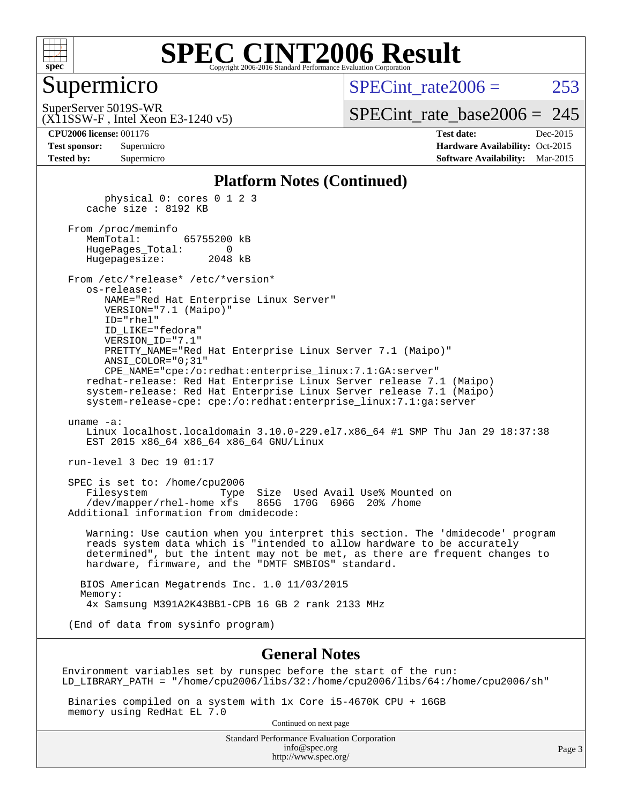

#### Supermicro

SPECint rate $2006 = 253$ 

(X11SSW-F , Intel Xeon E3-1240 v5) SuperServer 5019S-WR

[SPECint\\_rate\\_base2006 =](http://www.spec.org/auto/cpu2006/Docs/result-fields.html#SPECintratebase2006) 245

**[CPU2006 license:](http://www.spec.org/auto/cpu2006/Docs/result-fields.html#CPU2006license)** 001176 **[Test date:](http://www.spec.org/auto/cpu2006/Docs/result-fields.html#Testdate)** Dec-2015 **[Test sponsor:](http://www.spec.org/auto/cpu2006/Docs/result-fields.html#Testsponsor)** Supermicro Supermicro **[Hardware Availability:](http://www.spec.org/auto/cpu2006/Docs/result-fields.html#HardwareAvailability)** Oct-2015 **[Tested by:](http://www.spec.org/auto/cpu2006/Docs/result-fields.html#Testedby)** Supermicro **Supermicro [Software Availability:](http://www.spec.org/auto/cpu2006/Docs/result-fields.html#SoftwareAvailability)** Mar-2015

#### **[Platform Notes \(Continued\)](http://www.spec.org/auto/cpu2006/Docs/result-fields.html#PlatformNotes)**

 physical 0: cores 0 1 2 3 cache size : 8192 KB

 From /proc/meminfo MemTotal: 65755200 kB HugePages\_Total: 0 Hugepagesize: 2048 kB

 From /etc/\*release\* /etc/\*version\* os-release: NAME="Red Hat Enterprise Linux Server" VERSION="7.1 (Maipo)"

 ID="rhel" ID\_LIKE="fedora" VERSION\_ID="7.1" PRETTY\_NAME="Red Hat Enterprise Linux Server 7.1 (Maipo)" ANSI\_COLOR="0;31" CPE\_NAME="cpe:/o:redhat:enterprise\_linux:7.1:GA:server"

 redhat-release: Red Hat Enterprise Linux Server release 7.1 (Maipo) system-release: Red Hat Enterprise Linux Server release 7.1 (Maipo) system-release-cpe: cpe:/o:redhat:enterprise\_linux:7.1:ga:server

uname -a:

 Linux localhost.localdomain 3.10.0-229.el7.x86\_64 #1 SMP Thu Jan 29 18:37:38 EST 2015 x86 64 x86 64 x86 64 GNU/Linux

run-level 3 Dec 19 01:17

 SPEC is set to: /home/cpu2006 Filesystem Type Size Used Avail Use% Mounted on /dev/mapper/rhel-home xfs 865G 170G 696G 20% /home Additional information from dmidecode:

 Warning: Use caution when you interpret this section. The 'dmidecode' program reads system data which is "intended to allow hardware to be accurately determined", but the intent may not be met, as there are frequent changes to hardware, firmware, and the "DMTF SMBIOS" standard.

 BIOS American Megatrends Inc. 1.0 11/03/2015 Memory: 4x Samsung M391A2K43BB1-CPB 16 GB 2 rank 2133 MHz

(End of data from sysinfo program)

#### **[General Notes](http://www.spec.org/auto/cpu2006/Docs/result-fields.html#GeneralNotes)**

Environment variables set by runspec before the start of the run: LD\_LIBRARY\_PATH = "/home/cpu2006/libs/32:/home/cpu2006/libs/64:/home/cpu2006/sh"

 Binaries compiled on a system with 1x Core i5-4670K CPU + 16GB memory using RedHat EL 7.0

Continued on next page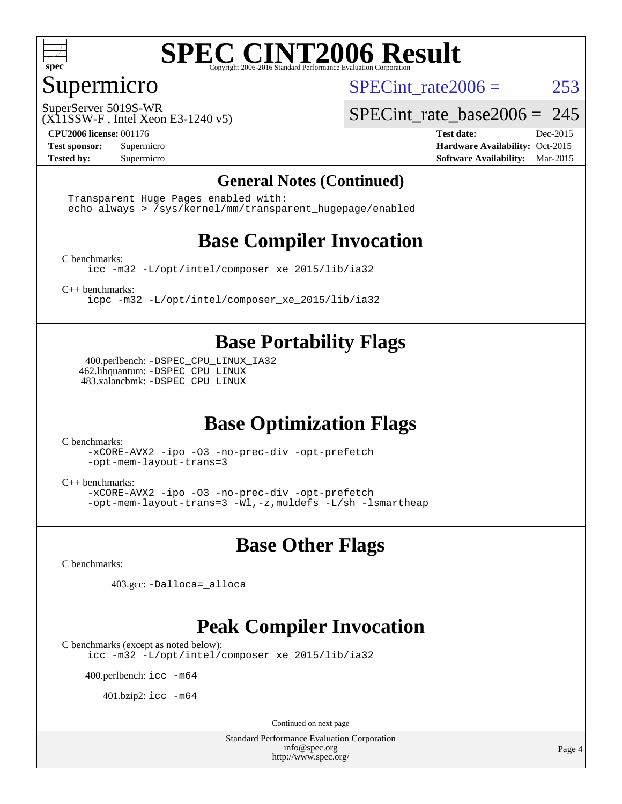

#### Supermicro

SPECint rate $2006 = 253$ 

SuperServer 5019S-WR

SPECint rate base2006 =  $245$ 

(X11SSW-F , Intel Xeon E3-1240 v5)

**[CPU2006 license:](http://www.spec.org/auto/cpu2006/Docs/result-fields.html#CPU2006license)** 001176 **[Test date:](http://www.spec.org/auto/cpu2006/Docs/result-fields.html#Testdate)** Dec-2015 **[Test sponsor:](http://www.spec.org/auto/cpu2006/Docs/result-fields.html#Testsponsor)** Supermicro Supermicro **[Hardware Availability:](http://www.spec.org/auto/cpu2006/Docs/result-fields.html#HardwareAvailability)** Oct-2015 **[Tested by:](http://www.spec.org/auto/cpu2006/Docs/result-fields.html#Testedby)** Supermicro **Supermicro [Software Availability:](http://www.spec.org/auto/cpu2006/Docs/result-fields.html#SoftwareAvailability)** Mar-2015

#### **[General Notes \(Continued\)](http://www.spec.org/auto/cpu2006/Docs/result-fields.html#GeneralNotes)**

 Transparent Huge Pages enabled with: echo always > /sys/kernel/mm/transparent\_hugepage/enabled

### **[Base Compiler Invocation](http://www.spec.org/auto/cpu2006/Docs/result-fields.html#BaseCompilerInvocation)**

[C benchmarks](http://www.spec.org/auto/cpu2006/Docs/result-fields.html#Cbenchmarks):

[icc -m32 -L/opt/intel/composer\\_xe\\_2015/lib/ia32](http://www.spec.org/cpu2006/results/res2016q1/cpu2006-20151223-38519.flags.html#user_CCbase_intel_icc_011b86df29f8c679b747245588698a4d)

[C++ benchmarks:](http://www.spec.org/auto/cpu2006/Docs/result-fields.html#CXXbenchmarks)

[icpc -m32 -L/opt/intel/composer\\_xe\\_2015/lib/ia32](http://www.spec.org/cpu2006/results/res2016q1/cpu2006-20151223-38519.flags.html#user_CXXbase_intel_icpc_c2c99686a1a582c3e0de0b4806b02cea)

### **[Base Portability Flags](http://www.spec.org/auto/cpu2006/Docs/result-fields.html#BasePortabilityFlags)**

 400.perlbench: [-DSPEC\\_CPU\\_LINUX\\_IA32](http://www.spec.org/cpu2006/results/res2016q1/cpu2006-20151223-38519.flags.html#b400.perlbench_baseCPORTABILITY_DSPEC_CPU_LINUX_IA32) 462.libquantum: [-DSPEC\\_CPU\\_LINUX](http://www.spec.org/cpu2006/results/res2016q1/cpu2006-20151223-38519.flags.html#b462.libquantum_baseCPORTABILITY_DSPEC_CPU_LINUX) 483.xalancbmk: [-DSPEC\\_CPU\\_LINUX](http://www.spec.org/cpu2006/results/res2016q1/cpu2006-20151223-38519.flags.html#b483.xalancbmk_baseCXXPORTABILITY_DSPEC_CPU_LINUX)

### **[Base Optimization Flags](http://www.spec.org/auto/cpu2006/Docs/result-fields.html#BaseOptimizationFlags)**

[C benchmarks](http://www.spec.org/auto/cpu2006/Docs/result-fields.html#Cbenchmarks):

[-xCORE-AVX2](http://www.spec.org/cpu2006/results/res2016q1/cpu2006-20151223-38519.flags.html#user_CCbase_f-xAVX2_5f5fc0cbe2c9f62c816d3e45806c70d7) [-ipo](http://www.spec.org/cpu2006/results/res2016q1/cpu2006-20151223-38519.flags.html#user_CCbase_f-ipo) [-O3](http://www.spec.org/cpu2006/results/res2016q1/cpu2006-20151223-38519.flags.html#user_CCbase_f-O3) [-no-prec-div](http://www.spec.org/cpu2006/results/res2016q1/cpu2006-20151223-38519.flags.html#user_CCbase_f-no-prec-div) [-opt-prefetch](http://www.spec.org/cpu2006/results/res2016q1/cpu2006-20151223-38519.flags.html#user_CCbase_f-opt-prefetch) [-opt-mem-layout-trans=3](http://www.spec.org/cpu2006/results/res2016q1/cpu2006-20151223-38519.flags.html#user_CCbase_f-opt-mem-layout-trans_a7b82ad4bd7abf52556d4961a2ae94d5)

[C++ benchmarks:](http://www.spec.org/auto/cpu2006/Docs/result-fields.html#CXXbenchmarks)

[-xCORE-AVX2](http://www.spec.org/cpu2006/results/res2016q1/cpu2006-20151223-38519.flags.html#user_CXXbase_f-xAVX2_5f5fc0cbe2c9f62c816d3e45806c70d7) [-ipo](http://www.spec.org/cpu2006/results/res2016q1/cpu2006-20151223-38519.flags.html#user_CXXbase_f-ipo) [-O3](http://www.spec.org/cpu2006/results/res2016q1/cpu2006-20151223-38519.flags.html#user_CXXbase_f-O3) [-no-prec-div](http://www.spec.org/cpu2006/results/res2016q1/cpu2006-20151223-38519.flags.html#user_CXXbase_f-no-prec-div) [-opt-prefetch](http://www.spec.org/cpu2006/results/res2016q1/cpu2006-20151223-38519.flags.html#user_CXXbase_f-opt-prefetch) [-opt-mem-layout-trans=3](http://www.spec.org/cpu2006/results/res2016q1/cpu2006-20151223-38519.flags.html#user_CXXbase_f-opt-mem-layout-trans_a7b82ad4bd7abf52556d4961a2ae94d5) [-Wl,-z,muldefs](http://www.spec.org/cpu2006/results/res2016q1/cpu2006-20151223-38519.flags.html#user_CXXbase_link_force_multiple1_74079c344b956b9658436fd1b6dd3a8a) [-L/sh -lsmartheap](http://www.spec.org/cpu2006/results/res2016q1/cpu2006-20151223-38519.flags.html#user_CXXbase_SmartHeap_32f6c82aa1ed9c52345d30cf6e4a0499)

#### **[Base Other Flags](http://www.spec.org/auto/cpu2006/Docs/result-fields.html#BaseOtherFlags)**

[C benchmarks](http://www.spec.org/auto/cpu2006/Docs/result-fields.html#Cbenchmarks):

403.gcc: [-Dalloca=\\_alloca](http://www.spec.org/cpu2006/results/res2016q1/cpu2006-20151223-38519.flags.html#b403.gcc_baseEXTRA_CFLAGS_Dalloca_be3056838c12de2578596ca5467af7f3)

#### **[Peak Compiler Invocation](http://www.spec.org/auto/cpu2006/Docs/result-fields.html#PeakCompilerInvocation)**

[C benchmarks \(except as noted below\)](http://www.spec.org/auto/cpu2006/Docs/result-fields.html#Cbenchmarksexceptasnotedbelow):

[icc -m32 -L/opt/intel/composer\\_xe\\_2015/lib/ia32](http://www.spec.org/cpu2006/results/res2016q1/cpu2006-20151223-38519.flags.html#user_CCpeak_intel_icc_011b86df29f8c679b747245588698a4d)

400.perlbench: [icc -m64](http://www.spec.org/cpu2006/results/res2016q1/cpu2006-20151223-38519.flags.html#user_peakCCLD400_perlbench_intel_icc_64bit_bda6cc9af1fdbb0edc3795bac97ada53)

401.bzip2: [icc -m64](http://www.spec.org/cpu2006/results/res2016q1/cpu2006-20151223-38519.flags.html#user_peakCCLD401_bzip2_intel_icc_64bit_bda6cc9af1fdbb0edc3795bac97ada53)

Continued on next page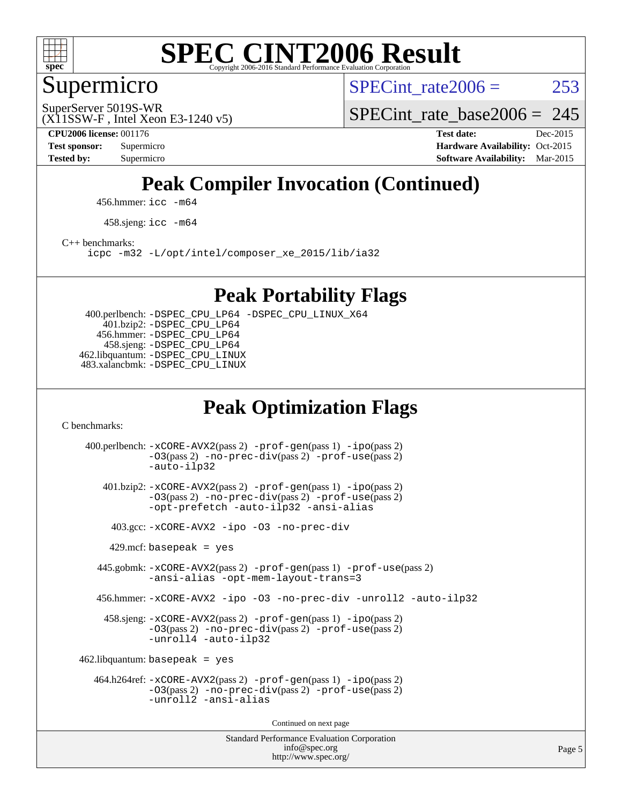

### Supermicro

SPECint rate $2006 = 253$ 

(X11SSW-F , Intel Xeon E3-1240 v5) SuperServer 5019S-WR

SPECint rate base2006 =  $245$ 

**[CPU2006 license:](http://www.spec.org/auto/cpu2006/Docs/result-fields.html#CPU2006license)** 001176 **[Test date:](http://www.spec.org/auto/cpu2006/Docs/result-fields.html#Testdate)** Dec-2015 **[Test sponsor:](http://www.spec.org/auto/cpu2006/Docs/result-fields.html#Testsponsor)** Supermicro **[Hardware Availability:](http://www.spec.org/auto/cpu2006/Docs/result-fields.html#HardwareAvailability)** Oct-2015 **[Tested by:](http://www.spec.org/auto/cpu2006/Docs/result-fields.html#Testedby)** Supermicro **Supermicro [Software Availability:](http://www.spec.org/auto/cpu2006/Docs/result-fields.html#SoftwareAvailability)** Mar-2015

## **[Peak Compiler Invocation \(Continued\)](http://www.spec.org/auto/cpu2006/Docs/result-fields.html#PeakCompilerInvocation)**

456.hmmer: [icc -m64](http://www.spec.org/cpu2006/results/res2016q1/cpu2006-20151223-38519.flags.html#user_peakCCLD456_hmmer_intel_icc_64bit_bda6cc9af1fdbb0edc3795bac97ada53)

458.sjeng: [icc -m64](http://www.spec.org/cpu2006/results/res2016q1/cpu2006-20151223-38519.flags.html#user_peakCCLD458_sjeng_intel_icc_64bit_bda6cc9af1fdbb0edc3795bac97ada53)

[C++ benchmarks:](http://www.spec.org/auto/cpu2006/Docs/result-fields.html#CXXbenchmarks)

[icpc -m32 -L/opt/intel/composer\\_xe\\_2015/lib/ia32](http://www.spec.org/cpu2006/results/res2016q1/cpu2006-20151223-38519.flags.html#user_CXXpeak_intel_icpc_c2c99686a1a582c3e0de0b4806b02cea)

#### **[Peak Portability Flags](http://www.spec.org/auto/cpu2006/Docs/result-fields.html#PeakPortabilityFlags)**

 400.perlbench: [-DSPEC\\_CPU\\_LP64](http://www.spec.org/cpu2006/results/res2016q1/cpu2006-20151223-38519.flags.html#b400.perlbench_peakCPORTABILITY_DSPEC_CPU_LP64) [-DSPEC\\_CPU\\_LINUX\\_X64](http://www.spec.org/cpu2006/results/res2016q1/cpu2006-20151223-38519.flags.html#b400.perlbench_peakCPORTABILITY_DSPEC_CPU_LINUX_X64) 401.bzip2: [-DSPEC\\_CPU\\_LP64](http://www.spec.org/cpu2006/results/res2016q1/cpu2006-20151223-38519.flags.html#suite_peakCPORTABILITY401_bzip2_DSPEC_CPU_LP64) 456.hmmer: [-DSPEC\\_CPU\\_LP64](http://www.spec.org/cpu2006/results/res2016q1/cpu2006-20151223-38519.flags.html#suite_peakCPORTABILITY456_hmmer_DSPEC_CPU_LP64) 458.sjeng: [-DSPEC\\_CPU\\_LP64](http://www.spec.org/cpu2006/results/res2016q1/cpu2006-20151223-38519.flags.html#suite_peakCPORTABILITY458_sjeng_DSPEC_CPU_LP64) 462.libquantum: [-DSPEC\\_CPU\\_LINUX](http://www.spec.org/cpu2006/results/res2016q1/cpu2006-20151223-38519.flags.html#b462.libquantum_peakCPORTABILITY_DSPEC_CPU_LINUX) 483.xalancbmk: [-DSPEC\\_CPU\\_LINUX](http://www.spec.org/cpu2006/results/res2016q1/cpu2006-20151223-38519.flags.html#b483.xalancbmk_peakCXXPORTABILITY_DSPEC_CPU_LINUX)

### **[Peak Optimization Flags](http://www.spec.org/auto/cpu2006/Docs/result-fields.html#PeakOptimizationFlags)**

[C benchmarks](http://www.spec.org/auto/cpu2006/Docs/result-fields.html#Cbenchmarks):

Standard Performance Evaluation Corporation [info@spec.org](mailto:info@spec.org) 400.perlbench: [-xCORE-AVX2](http://www.spec.org/cpu2006/results/res2016q1/cpu2006-20151223-38519.flags.html#user_peakPASS2_CFLAGSPASS2_LDCFLAGS400_perlbench_f-xAVX2_5f5fc0cbe2c9f62c816d3e45806c70d7)(pass 2) [-prof-gen](http://www.spec.org/cpu2006/results/res2016q1/cpu2006-20151223-38519.flags.html#user_peakPASS1_CFLAGSPASS1_LDCFLAGS400_perlbench_prof_gen_e43856698f6ca7b7e442dfd80e94a8fc)(pass 1) [-ipo](http://www.spec.org/cpu2006/results/res2016q1/cpu2006-20151223-38519.flags.html#user_peakPASS2_CFLAGSPASS2_LDCFLAGS400_perlbench_f-ipo)(pass 2) [-O3](http://www.spec.org/cpu2006/results/res2016q1/cpu2006-20151223-38519.flags.html#user_peakPASS2_CFLAGSPASS2_LDCFLAGS400_perlbench_f-O3)(pass 2) [-no-prec-div](http://www.spec.org/cpu2006/results/res2016q1/cpu2006-20151223-38519.flags.html#user_peakPASS2_CFLAGSPASS2_LDCFLAGS400_perlbench_f-no-prec-div)(pass 2) [-prof-use](http://www.spec.org/cpu2006/results/res2016q1/cpu2006-20151223-38519.flags.html#user_peakPASS2_CFLAGSPASS2_LDCFLAGS400_perlbench_prof_use_bccf7792157ff70d64e32fe3e1250b55)(pass 2) [-auto-ilp32](http://www.spec.org/cpu2006/results/res2016q1/cpu2006-20151223-38519.flags.html#user_peakCOPTIMIZE400_perlbench_f-auto-ilp32) 401.bzip2: [-xCORE-AVX2](http://www.spec.org/cpu2006/results/res2016q1/cpu2006-20151223-38519.flags.html#user_peakPASS2_CFLAGSPASS2_LDCFLAGS401_bzip2_f-xAVX2_5f5fc0cbe2c9f62c816d3e45806c70d7)(pass 2) [-prof-gen](http://www.spec.org/cpu2006/results/res2016q1/cpu2006-20151223-38519.flags.html#user_peakPASS1_CFLAGSPASS1_LDCFLAGS401_bzip2_prof_gen_e43856698f6ca7b7e442dfd80e94a8fc)(pass 1) [-ipo](http://www.spec.org/cpu2006/results/res2016q1/cpu2006-20151223-38519.flags.html#user_peakPASS2_CFLAGSPASS2_LDCFLAGS401_bzip2_f-ipo)(pass 2) [-O3](http://www.spec.org/cpu2006/results/res2016q1/cpu2006-20151223-38519.flags.html#user_peakPASS2_CFLAGSPASS2_LDCFLAGS401_bzip2_f-O3)(pass 2) [-no-prec-div](http://www.spec.org/cpu2006/results/res2016q1/cpu2006-20151223-38519.flags.html#user_peakPASS2_CFLAGSPASS2_LDCFLAGS401_bzip2_f-no-prec-div)(pass 2) [-prof-use](http://www.spec.org/cpu2006/results/res2016q1/cpu2006-20151223-38519.flags.html#user_peakPASS2_CFLAGSPASS2_LDCFLAGS401_bzip2_prof_use_bccf7792157ff70d64e32fe3e1250b55)(pass 2) [-opt-prefetch](http://www.spec.org/cpu2006/results/res2016q1/cpu2006-20151223-38519.flags.html#user_peakCOPTIMIZE401_bzip2_f-opt-prefetch) [-auto-ilp32](http://www.spec.org/cpu2006/results/res2016q1/cpu2006-20151223-38519.flags.html#user_peakCOPTIMIZE401_bzip2_f-auto-ilp32) [-ansi-alias](http://www.spec.org/cpu2006/results/res2016q1/cpu2006-20151223-38519.flags.html#user_peakCOPTIMIZE401_bzip2_f-ansi-alias) 403.gcc: [-xCORE-AVX2](http://www.spec.org/cpu2006/results/res2016q1/cpu2006-20151223-38519.flags.html#user_peakCOPTIMIZE403_gcc_f-xAVX2_5f5fc0cbe2c9f62c816d3e45806c70d7) [-ipo](http://www.spec.org/cpu2006/results/res2016q1/cpu2006-20151223-38519.flags.html#user_peakCOPTIMIZE403_gcc_f-ipo) [-O3](http://www.spec.org/cpu2006/results/res2016q1/cpu2006-20151223-38519.flags.html#user_peakCOPTIMIZE403_gcc_f-O3) [-no-prec-div](http://www.spec.org/cpu2006/results/res2016q1/cpu2006-20151223-38519.flags.html#user_peakCOPTIMIZE403_gcc_f-no-prec-div)  $429$ .mcf: basepeak = yes 445.gobmk: [-xCORE-AVX2](http://www.spec.org/cpu2006/results/res2016q1/cpu2006-20151223-38519.flags.html#user_peakPASS2_CFLAGSPASS2_LDCFLAGS445_gobmk_f-xAVX2_5f5fc0cbe2c9f62c816d3e45806c70d7)(pass 2) [-prof-gen](http://www.spec.org/cpu2006/results/res2016q1/cpu2006-20151223-38519.flags.html#user_peakPASS1_CFLAGSPASS1_LDCFLAGS445_gobmk_prof_gen_e43856698f6ca7b7e442dfd80e94a8fc)(pass 1) [-prof-use](http://www.spec.org/cpu2006/results/res2016q1/cpu2006-20151223-38519.flags.html#user_peakPASS2_CFLAGSPASS2_LDCFLAGS445_gobmk_prof_use_bccf7792157ff70d64e32fe3e1250b55)(pass 2) [-ansi-alias](http://www.spec.org/cpu2006/results/res2016q1/cpu2006-20151223-38519.flags.html#user_peakCOPTIMIZE445_gobmk_f-ansi-alias) [-opt-mem-layout-trans=3](http://www.spec.org/cpu2006/results/res2016q1/cpu2006-20151223-38519.flags.html#user_peakCOPTIMIZE445_gobmk_f-opt-mem-layout-trans_a7b82ad4bd7abf52556d4961a2ae94d5) 456.hmmer: [-xCORE-AVX2](http://www.spec.org/cpu2006/results/res2016q1/cpu2006-20151223-38519.flags.html#user_peakCOPTIMIZE456_hmmer_f-xAVX2_5f5fc0cbe2c9f62c816d3e45806c70d7) [-ipo](http://www.spec.org/cpu2006/results/res2016q1/cpu2006-20151223-38519.flags.html#user_peakCOPTIMIZE456_hmmer_f-ipo) [-O3](http://www.spec.org/cpu2006/results/res2016q1/cpu2006-20151223-38519.flags.html#user_peakCOPTIMIZE456_hmmer_f-O3) [-no-prec-div](http://www.spec.org/cpu2006/results/res2016q1/cpu2006-20151223-38519.flags.html#user_peakCOPTIMIZE456_hmmer_f-no-prec-div) [-unroll2](http://www.spec.org/cpu2006/results/res2016q1/cpu2006-20151223-38519.flags.html#user_peakCOPTIMIZE456_hmmer_f-unroll_784dae83bebfb236979b41d2422d7ec2) [-auto-ilp32](http://www.spec.org/cpu2006/results/res2016q1/cpu2006-20151223-38519.flags.html#user_peakCOPTIMIZE456_hmmer_f-auto-ilp32) 458.sjeng: [-xCORE-AVX2](http://www.spec.org/cpu2006/results/res2016q1/cpu2006-20151223-38519.flags.html#user_peakPASS2_CFLAGSPASS2_LDCFLAGS458_sjeng_f-xAVX2_5f5fc0cbe2c9f62c816d3e45806c70d7)(pass 2) [-prof-gen](http://www.spec.org/cpu2006/results/res2016q1/cpu2006-20151223-38519.flags.html#user_peakPASS1_CFLAGSPASS1_LDCFLAGS458_sjeng_prof_gen_e43856698f6ca7b7e442dfd80e94a8fc)(pass 1) [-ipo](http://www.spec.org/cpu2006/results/res2016q1/cpu2006-20151223-38519.flags.html#user_peakPASS2_CFLAGSPASS2_LDCFLAGS458_sjeng_f-ipo)(pass 2) [-O3](http://www.spec.org/cpu2006/results/res2016q1/cpu2006-20151223-38519.flags.html#user_peakPASS2_CFLAGSPASS2_LDCFLAGS458_sjeng_f-O3)(pass 2) [-no-prec-div](http://www.spec.org/cpu2006/results/res2016q1/cpu2006-20151223-38519.flags.html#user_peakPASS2_CFLAGSPASS2_LDCFLAGS458_sjeng_f-no-prec-div)(pass 2) [-prof-use](http://www.spec.org/cpu2006/results/res2016q1/cpu2006-20151223-38519.flags.html#user_peakPASS2_CFLAGSPASS2_LDCFLAGS458_sjeng_prof_use_bccf7792157ff70d64e32fe3e1250b55)(pass 2) [-unroll4](http://www.spec.org/cpu2006/results/res2016q1/cpu2006-20151223-38519.flags.html#user_peakCOPTIMIZE458_sjeng_f-unroll_4e5e4ed65b7fd20bdcd365bec371b81f) [-auto-ilp32](http://www.spec.org/cpu2006/results/res2016q1/cpu2006-20151223-38519.flags.html#user_peakCOPTIMIZE458_sjeng_f-auto-ilp32)  $462$ .libquantum: basepeak = yes 464.h264ref: [-xCORE-AVX2](http://www.spec.org/cpu2006/results/res2016q1/cpu2006-20151223-38519.flags.html#user_peakPASS2_CFLAGSPASS2_LDCFLAGS464_h264ref_f-xAVX2_5f5fc0cbe2c9f62c816d3e45806c70d7)(pass 2) [-prof-gen](http://www.spec.org/cpu2006/results/res2016q1/cpu2006-20151223-38519.flags.html#user_peakPASS1_CFLAGSPASS1_LDCFLAGS464_h264ref_prof_gen_e43856698f6ca7b7e442dfd80e94a8fc)(pass 1) [-ipo](http://www.spec.org/cpu2006/results/res2016q1/cpu2006-20151223-38519.flags.html#user_peakPASS2_CFLAGSPASS2_LDCFLAGS464_h264ref_f-ipo)(pass 2) [-O3](http://www.spec.org/cpu2006/results/res2016q1/cpu2006-20151223-38519.flags.html#user_peakPASS2_CFLAGSPASS2_LDCFLAGS464_h264ref_f-O3)(pass 2) [-no-prec-div](http://www.spec.org/cpu2006/results/res2016q1/cpu2006-20151223-38519.flags.html#user_peakPASS2_CFLAGSPASS2_LDCFLAGS464_h264ref_f-no-prec-div)(pass 2) [-prof-use](http://www.spec.org/cpu2006/results/res2016q1/cpu2006-20151223-38519.flags.html#user_peakPASS2_CFLAGSPASS2_LDCFLAGS464_h264ref_prof_use_bccf7792157ff70d64e32fe3e1250b55)(pass 2) [-unroll2](http://www.spec.org/cpu2006/results/res2016q1/cpu2006-20151223-38519.flags.html#user_peakCOPTIMIZE464_h264ref_f-unroll_784dae83bebfb236979b41d2422d7ec2) [-ansi-alias](http://www.spec.org/cpu2006/results/res2016q1/cpu2006-20151223-38519.flags.html#user_peakCOPTIMIZE464_h264ref_f-ansi-alias) Continued on next page

<http://www.spec.org/>